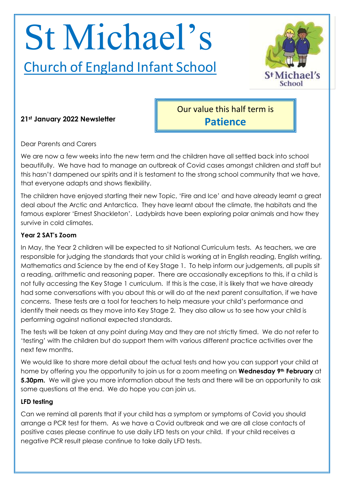# St Michael's

## Church of England Infant School



### **21st January 2022 Newsletter**

Our value this half term is **Patience**

Dear Parents and Carers

We are now a few weeks into the new term and the children have all settled back into school beautifully. We have had to manage an outbreak of Covid cases amongst children and staff but this hasn't dampened our spirits and it is testament to the strong school community that we have, that everyone adapts and shows flexibility.

The children have enjoyed starting their new Topic, 'Fire and Ice' and have already learnt a great deal about the Arctic and Antarctica. They have learnt about the climate, the habitats and the famous explorer 'Ernest Shackleton'. Ladybirds have been exploring polar animals and how they survive in cold climates.

#### **Year 2 SAT's Zoom**

In May, the Year 2 children will be expected to sit National Curriculum tests. As teachers, we are responsible for judging the standards that your child is working at in English reading, English writing, Mathematics and Science by the end of Key Stage 1. To help inform our judgements, all pupils sit a reading, arithmetic and reasoning paper. There are occasionally exceptions to this, if a child is not fully accessing the Key Stage 1 curriculum. If this is the case, it is likely that we have already had some conversations with you about this or will do at the next parent consultation, if we have concerns. These tests are a tool for teachers to help measure your child's performance and identify their needs as they move into Key Stage 2. They also allow us to see how your child is performing against national expected standards.

The tests will be taken at any point during May and they are not strictly timed. We do not refer to 'testing' with the children but do support them with various different practice activities over the next few months.

We would like to share more detail about the actual tests and how you can support your child at home by offering you the opportunity to join us for a zoom meeting on **Wednesday 9th February** at **5.30pm.** We will give you more information about the tests and there will be an opportunity to ask some questions at the end. We do hope you can join us.

#### **LFD testing**

Can we remind all parents that if your child has a symptom or symptoms of Covid you should arrange a PCR test for them. As we have a Covid outbreak and we are all close contacts of positive cases please continue to use daily LFD tests on your child. If your child receives a negative PCR result please continue to take daily LFD tests.